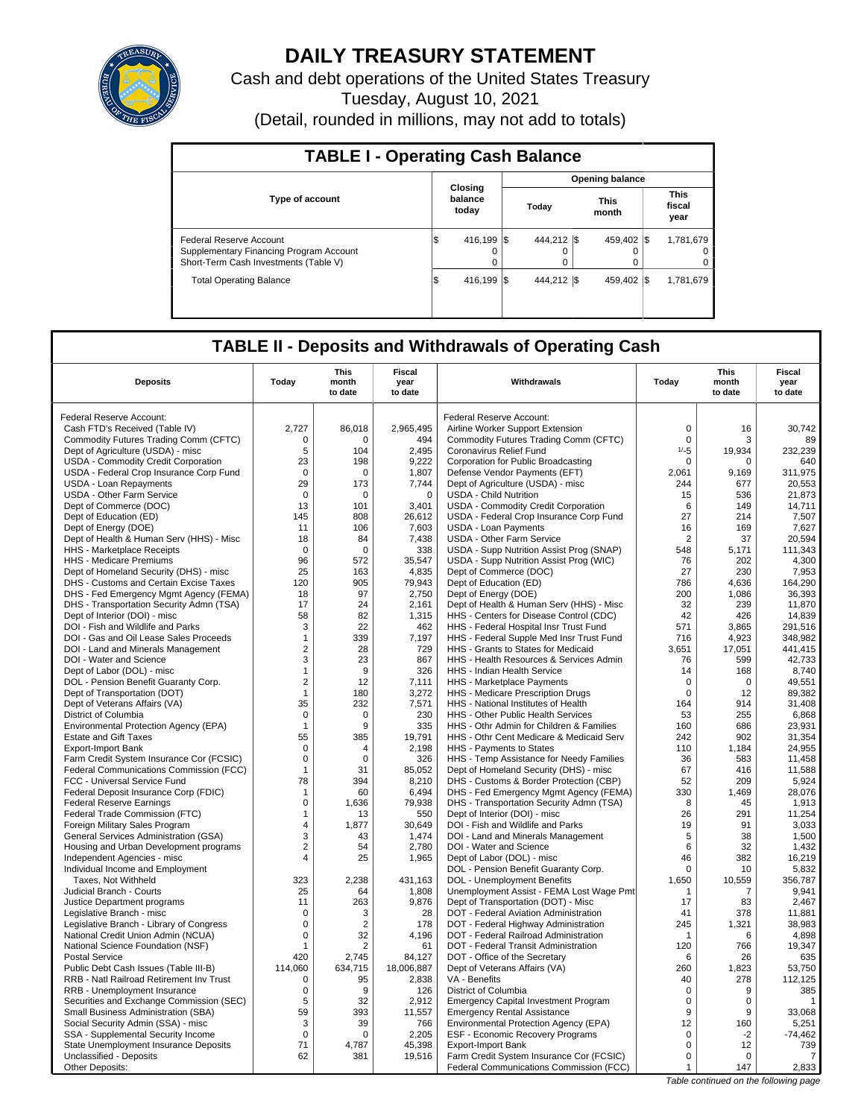

# **DAILY TREASURY STATEMENT**

Cash and debt operations of the United States Treasury Tuesday, August 10, 2021 (Detail, rounded in millions, may not add to totals)

| <b>TABLE I - Operating Cash Balance</b>                                                                     |                             |                         |                        |                               |  |  |  |  |
|-------------------------------------------------------------------------------------------------------------|-----------------------------|-------------------------|------------------------|-------------------------------|--|--|--|--|
|                                                                                                             |                             |                         | <b>Opening balance</b> |                               |  |  |  |  |
| <b>Type of account</b>                                                                                      | Closing<br>balance<br>today | Today                   | <b>This</b><br>month   | <b>This</b><br>fiscal<br>year |  |  |  |  |
| Federal Reserve Account<br>Supplementary Financing Program Account<br>Short-Term Cash Investments (Table V) | 416.199 \\$<br>S<br>0       | 444.212 \\$<br>$\Omega$ | 459.402 \\$<br>0       | 1,781,679<br>$\Omega$<br>0    |  |  |  |  |
| <b>Total Operating Balance</b>                                                                              | 416.199 S<br>1\$            | 444.212 \\$             | 459.402 \\$            | 1,781,679                     |  |  |  |  |

## **TABLE II - Deposits and Withdrawals of Operating Cash**

| <b>Deposits</b>                                                 | Today                 | <b>This</b><br>month<br>to date | Fiscal<br>year<br>to date | Withdrawals                                                        | Today          | This<br>month<br>to date | Fiscal<br>year<br>to date |
|-----------------------------------------------------------------|-----------------------|---------------------------------|---------------------------|--------------------------------------------------------------------|----------------|--------------------------|---------------------------|
| Federal Reserve Account:                                        |                       |                                 |                           | Federal Reserve Account:                                           |                |                          |                           |
| Cash FTD's Received (Table IV)                                  | 2,727                 | 86,018                          | 2,965,495                 | Airline Worker Support Extension                                   | $\mathbf 0$    | 16                       | 30.742                    |
| Commodity Futures Trading Comm (CFTC)                           | 0                     | $\Omega$                        | 494                       | Commodity Futures Trading Comm (CFTC)                              | $\mathbf 0$    | 3                        | 89                        |
| Dept of Agriculture (USDA) - misc                               | 5                     | 104                             | 2,495                     | Coronavirus Relief Fund                                            | $1/-5$         | 19,934                   | 232,239                   |
| USDA - Commodity Credit Corporation                             | 23                    | 198                             | 9.222                     | Corporation for Public Broadcasting                                | $\mathbf 0$    | 0                        | 640                       |
| USDA - Federal Crop Insurance Corp Fund                         | $\Omega$              | $\Omega$                        | 1,807                     | Defense Vendor Payments (EFT)                                      | 2,061          | 9,169                    | 311,975                   |
| <b>USDA - Loan Repayments</b>                                   | 29                    | 173                             | 7.744                     | Dept of Agriculture (USDA) - misc                                  | 244            | 677                      | 20.553                    |
| <b>USDA - Other Farm Service</b>                                | $\mathbf 0$           | $\mathbf 0$                     | $\mathbf 0$               | <b>USDA - Child Nutrition</b>                                      | 15             | 536                      | 21,873                    |
| Dept of Commerce (DOC)                                          | 13                    | 101                             | 3,401                     | USDA - Commodity Credit Corporation                                | 6              | 149                      | 14,711                    |
| Dept of Education (ED)                                          | 145                   | 808                             | 26,612                    | USDA - Federal Crop Insurance Corp Fund                            | 27             | 214                      | 7,507                     |
| Dept of Energy (DOE)                                            | 11                    | 106                             | 7,603                     | <b>USDA - Loan Payments</b>                                        | 16             | 169                      | 7,627                     |
| Dept of Health & Human Serv (HHS) - Misc                        | 18                    | 84                              | 7,438                     | <b>USDA - Other Farm Service</b>                                   | $\overline{2}$ | 37                       | 20,594                    |
| HHS - Marketplace Receipts                                      | $\Omega$              | $\Omega$                        | 338                       | USDA - Supp Nutrition Assist Prog (SNAP)                           | 548            | 5,171                    | 111,343                   |
| HHS - Medicare Premiums                                         | 96                    | 572                             | 35,547                    | USDA - Supp Nutrition Assist Prog (WIC)                            | 76             | 202                      | 4.300                     |
| Dept of Homeland Security (DHS) - misc                          | 25                    | 163                             | 4,835                     | Dept of Commerce (DOC)                                             | 27             | 230                      | 7,953                     |
| DHS - Customs and Certain Excise Taxes                          | 120                   | 905                             | 79,943                    | Dept of Education (ED)                                             | 786            | 4.636                    | 164.290                   |
| DHS - Fed Emergency Mgmt Agency (FEMA)                          | 18                    | 97                              | 2,750                     | Dept of Energy (DOE)                                               | 200            | 1,086                    | 36,393                    |
| DHS - Transportation Security Admn (TSA)                        | 17                    | 24                              | 2,161                     | Dept of Health & Human Serv (HHS) - Misc                           | 32             | 239                      | 11,870                    |
| Dept of Interior (DOI) - misc                                   | 58                    | 82                              | 1,315                     | HHS - Centers for Disease Control (CDC)                            | 42             | 426                      | 14,839                    |
| DOI - Fish and Wildlife and Parks                               | 3                     | 22                              | 462                       | HHS - Federal Hospital Insr Trust Fund                             | 571            | 3.865                    | 291,516                   |
| DOI - Gas and Oil Lease Sales Proceeds                          | $\mathbf{1}$          | 339                             | 7,197                     | HHS - Federal Supple Med Insr Trust Fund                           | 716            | 4,923                    | 348,982                   |
| DOI - Land and Minerals Management                              | $\overline{2}$        | 28                              | 729                       | HHS - Grants to States for Medicaid                                | 3,651          | 17,051                   | 441,415                   |
| DOI - Water and Science                                         | 3                     | 23                              | 867                       | HHS - Health Resources & Services Admin                            | 76             | 599                      | 42,733                    |
| Dept of Labor (DOL) - misc                                      | $\mathbf{1}$          | 9                               | 326                       | HHS - Indian Health Service                                        | 14             | 168                      | 8,740                     |
| DOL - Pension Benefit Guaranty Corp.                            | 2                     | 12                              | 7,111                     | HHS - Marketplace Payments                                         | $\mathbf 0$    | $\mathbf 0$              | 49,551                    |
| Dept of Transportation (DOT)                                    | $\mathbf{1}$          | 180                             | 3,272                     | HHS - Medicare Prescription Drugs                                  | $\mathbf 0$    | 12                       | 89,382                    |
| Dept of Veterans Affairs (VA)                                   | 35                    | 232                             | 7,571                     | HHS - National Institutes of Health                                | 164            | 914                      | 31,408                    |
| District of Columbia                                            | 0                     | 0                               | 230                       | <b>HHS - Other Public Health Services</b>                          | 53             | 255                      | 6.868                     |
| Environmental Protection Agency (EPA)                           | $\mathbf{1}$          | 9                               | 335                       | HHS - Othr Admin for Children & Families                           | 160            | 686                      | 23,931                    |
| <b>Estate and Gift Taxes</b>                                    | 55                    | 385                             | 19.791                    | HHS - Othr Cent Medicare & Medicaid Serv                           | 242            | 902                      | 31.354                    |
| <b>Export-Import Bank</b>                                       | $\mathbf 0$           | 4                               | 2,198                     | HHS - Payments to States                                           | 110            | 1,184                    | 24,955                    |
| Farm Credit System Insurance Cor (FCSIC)                        | $\mathbf 0$           | $\Omega$                        | 326                       | HHS - Temp Assistance for Needy Families                           | 36             | 583                      | 11,458                    |
| Federal Communications Commission (FCC)                         | $\mathbf{1}$          | 31                              | 85,052                    | Dept of Homeland Security (DHS) - misc                             | 67             | 416                      | 11,588                    |
| FCC - Universal Service Fund                                    | 78                    | 394                             | 8,210                     | DHS - Customs & Border Protection (CBP)                            | 52             | 209                      | 5,924                     |
| Federal Deposit Insurance Corp (FDIC)                           | $\mathbf{1}$          | 60                              | 6,494                     | DHS - Fed Emergency Mgmt Agency (FEMA)                             | 330            | 1,469                    | 28,076                    |
| <b>Federal Reserve Earnings</b>                                 | $\mathbf 0$           | 1,636                           | 79,938                    | DHS - Transportation Security Admn (TSA)                           | 8              | 45                       | 1,913                     |
| Federal Trade Commission (FTC)                                  | $\mathbf{1}$          | 13                              | 550                       | Dept of Interior (DOI) - misc                                      | 26             | 291                      | 11,254                    |
| Foreign Military Sales Program                                  | 4                     | 1.877                           | 30,649                    | DOI - Fish and Wildlife and Parks                                  | 19             | 91                       | 3,033                     |
| General Services Administration (GSA)                           | 3<br>$\boldsymbol{2}$ | 43                              | 1,474                     | DOI - Land and Minerals Management                                 | 5<br>6         | 38<br>32                 | 1,500                     |
| Housing and Urban Development programs                          | $\overline{4}$        | 54<br>25                        | 2,780<br>1,965            | DOI - Water and Science                                            | 46             | 382                      | 1,432<br>16,219           |
| Independent Agencies - misc<br>Individual Income and Employment |                       |                                 |                           | Dept of Labor (DOL) - misc<br>DOL - Pension Benefit Guaranty Corp. | $\Omega$       | 10                       | 5.832                     |
| Taxes, Not Withheld                                             | 323                   | 2,238                           | 431,163                   | DOL - Unemployment Benefits                                        | 1,650          | 10,559                   | 356,787                   |
| Judicial Branch - Courts                                        | 25                    | 64                              | 1,808                     | Unemployment Assist - FEMA Lost Wage Pmt                           | $\mathbf{1}$   | 7                        | 9,941                     |
| Justice Department programs                                     | 11                    | 263                             | 9,876                     | Dept of Transportation (DOT) - Misc                                | 17             | 83                       | 2,467                     |
| Legislative Branch - misc                                       | $\Omega$              | 3                               | 28                        | DOT - Federal Aviation Administration                              | 41             | 378                      | 11,881                    |
| Legislative Branch - Library of Congress                        | $\mathbf 0$           | $\overline{2}$                  | 178                       | DOT - Federal Highway Administration                               | 245            | 1,321                    | 38,983                    |
| National Credit Union Admin (NCUA)                              | $\Omega$              | 32                              | 4,196                     | DOT - Federal Railroad Administration                              | $\mathbf 1$    | 6                        | 4,898                     |
| National Science Foundation (NSF)                               | $\mathbf{1}$          | $\overline{2}$                  | 61                        | DOT - Federal Transit Administration                               | 120            | 766                      | 19.347                    |
| <b>Postal Service</b>                                           | 420                   | 2,745                           | 84,127                    | DOT - Office of the Secretary                                      | 6              | 26                       | 635                       |
| Public Debt Cash Issues (Table III-B)                           | 114,060               | 634,715                         | 18,006,887                | Dept of Veterans Affairs (VA)                                      | 260            | 1,823                    | 53,750                    |
| RRB - Natl Railroad Retirement Inv Trust                        | 0                     | 95                              | 2,838                     | VA - Benefits                                                      | 40             | 278                      | 112,125                   |
| RRB - Unemployment Insurance                                    | $\mathbf 0$           | 9                               | 126                       | District of Columbia                                               | $\mathbf 0$    | 9                        | 385                       |
| Securities and Exchange Commission (SEC)                        | 5                     | 32                              | 2,912                     | <b>Emergency Capital Investment Program</b>                        | 0              | 0                        | $\mathbf{1}$              |
| Small Business Administration (SBA)                             | 59                    | 393                             | 11,557                    | <b>Emergency Rental Assistance</b>                                 | 9              | 9                        | 33,068                    |
| Social Security Admin (SSA) - misc                              | 3                     | 39                              | 766                       | Environmental Protection Agency (EPA)                              | 12             | 160                      | 5,251                     |
| SSA - Supplemental Security Income                              | $\mathbf 0$           | $\Omega$                        | 2,205                     | ESF - Economic Recovery Programs                                   | $\mathsf 0$    | $-2$                     | $-74,462$                 |
| State Unemployment Insurance Deposits                           | 71                    | 4,787                           | 45,398                    | <b>Export-Import Bank</b>                                          | $\mathbf 0$    | 12                       | 739                       |
| Unclassified - Deposits                                         | 62                    | 381                             | 19,516                    | Farm Credit System Insurance Cor (FCSIC)                           | $\mathbf 0$    | $\Omega$                 | 7                         |
| Other Deposits:                                                 |                       |                                 |                           | Federal Communications Commission (FCC)                            | $\mathbf{1}$   | 147                      | 2,833                     |

Table continued on the following page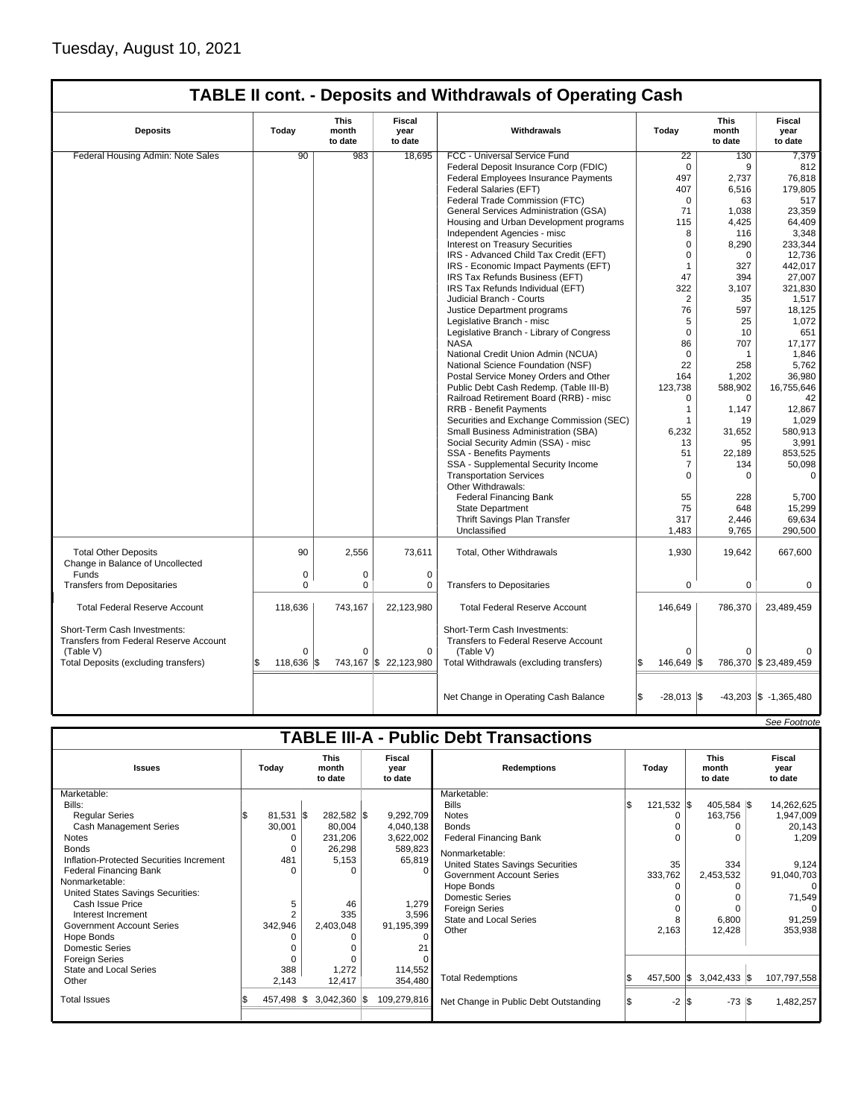| <b>Deposits</b>                                                               | Today      | <b>This</b><br>month<br>to date | Fiscal<br>year<br>to date | Withdrawals                                                          | Today          | <b>This</b><br>month<br>to date | <b>Fiscal</b><br>year<br>to date |
|-------------------------------------------------------------------------------|------------|---------------------------------|---------------------------|----------------------------------------------------------------------|----------------|---------------------------------|----------------------------------|
| Federal Housing Admin: Note Sales                                             | 90         | 983                             | 18,695                    | FCC - Universal Service Fund                                         | 22             | 130                             | 7,379                            |
|                                                                               |            |                                 |                           | Federal Deposit Insurance Corp (FDIC)                                | $\mathbf 0$    | 9                               | 812                              |
|                                                                               |            |                                 |                           | Federal Employees Insurance Payments                                 | 497            | 2,737                           | 76,818                           |
|                                                                               |            |                                 |                           | <b>Federal Salaries (EFT)</b>                                        | 407            | 6,516                           | 179,805                          |
|                                                                               |            |                                 |                           | Federal Trade Commission (FTC)                                       | $\mathbf 0$    | 63                              | 517                              |
|                                                                               |            |                                 |                           | General Services Administration (GSA)                                | 71             | 1,038                           | 23,359                           |
|                                                                               |            |                                 |                           | Housing and Urban Development programs                               | 115            | 4,425                           | 64.409                           |
|                                                                               |            |                                 |                           | Independent Agencies - misc                                          | 8              | 116                             | 3,348                            |
|                                                                               |            |                                 |                           | Interest on Treasury Securities                                      | 0              | 8,290                           | 233,344                          |
|                                                                               |            |                                 |                           | IRS - Advanced Child Tax Credit (EFT)                                | $\mathbf 0$    | $\mathbf 0$                     | 12,736                           |
|                                                                               |            |                                 |                           | IRS - Economic Impact Payments (EFT)                                 | $\mathbf{1}$   | 327                             | 442,017                          |
|                                                                               |            |                                 |                           | IRS Tax Refunds Business (EFT)                                       | 47             | 394                             | 27,007                           |
|                                                                               |            |                                 |                           | IRS Tax Refunds Individual (EFT)                                     | 322            | 3,107                           | 321,830                          |
|                                                                               |            |                                 |                           | Judicial Branch - Courts                                             | $\overline{2}$ | 35                              | 1,517                            |
|                                                                               |            |                                 |                           | Justice Department programs                                          | 76             | 597                             | 18,125                           |
|                                                                               |            |                                 |                           | Legislative Branch - misc                                            | 5              | 25                              | 1,072                            |
|                                                                               |            |                                 |                           | Legislative Branch - Library of Congress                             | $\Omega$       | 10                              | 651                              |
|                                                                               |            |                                 |                           | <b>NASA</b>                                                          | 86             | 707                             | 17,177                           |
|                                                                               |            |                                 |                           | National Credit Union Admin (NCUA)                                   | $\mathbf 0$    | $\mathbf{1}$                    | 1,846                            |
|                                                                               |            |                                 |                           | National Science Foundation (NSF)                                    | 22             | 258                             | 5,762                            |
|                                                                               |            |                                 |                           | Postal Service Money Orders and Other                                | 164            | 1,202                           | 36,980                           |
|                                                                               |            |                                 |                           | Public Debt Cash Redemp. (Table III-B)                               | 123,738        | 588,902                         | 16,755,646                       |
|                                                                               |            |                                 |                           | Railroad Retirement Board (RRB) - misc                               | 0              | $\mathbf 0$                     | 42                               |
|                                                                               |            |                                 |                           | <b>RRB - Benefit Payments</b>                                        | $\mathbf{1}$   | 1,147                           | 12,867                           |
|                                                                               |            |                                 |                           | Securities and Exchange Commission (SEC)                             | 1              | 19                              | 1,029                            |
|                                                                               |            |                                 |                           | Small Business Administration (SBA)                                  | 6,232          | 31,652                          | 580,913                          |
|                                                                               |            |                                 |                           | Social Security Admin (SSA) - misc                                   | 13             | 95                              | 3,991                            |
|                                                                               |            |                                 |                           | <b>SSA - Benefits Payments</b>                                       | 51             | 22.189                          | 853.525                          |
|                                                                               |            |                                 |                           | SSA - Supplemental Security Income                                   | $\overline{7}$ | 134                             | 50,098                           |
|                                                                               |            |                                 |                           | <b>Transportation Services</b>                                       | 0              | $\mathbf 0$                     | $\mathbf 0$                      |
|                                                                               |            |                                 |                           | Other Withdrawals:                                                   |                |                                 |                                  |
|                                                                               |            |                                 |                           | <b>Federal Financing Bank</b>                                        | 55             | 228                             | 5,700                            |
|                                                                               |            |                                 |                           | <b>State Department</b>                                              | 75             | 648                             | 15,299                           |
|                                                                               |            |                                 |                           | Thrift Savings Plan Transfer                                         | 317            | 2,446                           | 69,634                           |
|                                                                               |            |                                 |                           | Unclassified                                                         | 1,483          | 9,765                           | 290,500                          |
|                                                                               |            |                                 |                           |                                                                      |                |                                 |                                  |
| <b>Total Other Deposits</b><br>Change in Balance of Uncollected               | 90         | 2,556                           | 73,611                    | Total, Other Withdrawals                                             | 1,930          | 19,642                          | 667,600                          |
| Funds                                                                         | 0          | 0                               | $\mathbf 0$               |                                                                      |                |                                 |                                  |
| <b>Transfers from Depositaries</b>                                            | 0          | $\mathbf 0$                     | $\mathbf 0$               | <b>Transfers to Depositaries</b>                                     | 0              | $\mathbf 0$                     | $\mathbf 0$                      |
|                                                                               |            |                                 |                           |                                                                      |                |                                 |                                  |
| <b>Total Federal Reserve Account</b>                                          | 118,636    | 743,167                         | 22,123,980                | <b>Total Federal Reserve Account</b>                                 | 146,649        | 786,370                         | 23,489,459                       |
| Short-Term Cash Investments:<br><b>Transfers from Federal Reserve Account</b> |            |                                 |                           | Short-Term Cash Investments:<br>Transfers to Federal Reserve Account |                |                                 |                                  |
| (Table V)                                                                     | $\Omega$   | $\Omega$                        | $\Omega$                  | (Table V)                                                            | $\Omega$       | $\Omega$                        |                                  |
| Total Deposits (excluding transfers)                                          | 118,636 \$ | 743,167                         | \$22,123,980              | Total Withdrawals (excluding transfers)                              | 146,649 \$     |                                 | 786,370 \$ 23,489,459            |
|                                                                               |            |                                 |                           | Net Change in Operating Cash Balance                                 | $-28,013$ \\$  |                                 | $-43,203$ \$ $-1,365,480$        |

|                                               |             |          |                                 |  |                           |                                       |    |              |                                 | See Footnote              |
|-----------------------------------------------|-------------|----------|---------------------------------|--|---------------------------|---------------------------------------|----|--------------|---------------------------------|---------------------------|
| <b>TABLE III-A - Public Debt Transactions</b> |             |          |                                 |  |                           |                                       |    |              |                                 |                           |
| <b>Issues</b>                                 | Today       |          | <b>This</b><br>month<br>to date |  | Fiscal<br>year<br>to date | <b>Redemptions</b>                    |    | Todav        | <b>This</b><br>month<br>to date | Fiscal<br>year<br>to date |
| Marketable:                                   |             |          |                                 |  |                           | Marketable:                           |    |              |                                 |                           |
| Bills:                                        |             |          |                                 |  |                           | <b>Bills</b>                          | ß. | $121,532$ \$ | $405,584$ \$                    | 14,262,625                |
| <b>Regular Series</b>                         | $81,531$ \$ |          | 282,582 \$                      |  | 9,292,709                 | <b>Notes</b>                          |    |              | 163,756                         | 1,947,009                 |
| <b>Cash Management Series</b>                 | 30,001      |          | 80,004                          |  | 4,040,138                 | <b>Bonds</b>                          |    |              |                                 | 20,143                    |
| <b>Notes</b>                                  |             | O        | 231,206                         |  | 3,622,002                 | <b>Federal Financing Bank</b>         |    |              |                                 | 1,209                     |
| <b>Bonds</b>                                  |             |          | 26,298                          |  | 589,823                   | Nonmarketable:                        |    |              |                                 |                           |
| Inflation-Protected Securities Increment      | 481         |          | 5,153                           |  | 65,819                    | United States Savings Securities      |    | 35           | 334                             | 9,124                     |
| Federal Financing Bank                        |             | $\Omega$ | O                               |  |                           | <b>Government Account Series</b>      |    | 333,762      | 2,453,532                       | 91,040,703                |
| Nonmarketable:                                |             |          |                                 |  |                           | Hope Bonds                            |    |              |                                 | $\Omega$                  |
| United States Savings Securities:             |             |          |                                 |  |                           | <b>Domestic Series</b>                |    |              |                                 | 71,549                    |
| Cash Issue Price                              |             | 5        | 46                              |  | 1,279                     | <b>Foreign Series</b>                 |    |              |                                 |                           |
| Interest Increment                            |             |          | 335                             |  | 3,596                     | <b>State and Local Series</b>         |    |              | 6,800                           | 91,259                    |
| Government Account Series                     | 342,946     |          | 2,403,048                       |  | 91,195,399                | Other                                 |    | 2,163        | 12,428                          | 353,938                   |
| Hope Bonds                                    |             |          |                                 |  |                           |                                       |    |              |                                 |                           |
| <b>Domestic Series</b>                        |             |          |                                 |  |                           |                                       |    |              |                                 |                           |
| <b>Foreign Series</b>                         |             |          |                                 |  |                           |                                       |    |              |                                 |                           |
| State and Local Series                        | 388         |          | 1,272                           |  | 114,552                   |                                       |    |              |                                 |                           |
| Other                                         | 2,143       |          | 12,417                          |  | 354,480                   | <b>Total Redemptions</b>              |    | 457,500 \$   | $3,042,433$ \$                  | 107,797,558               |
| <b>Total Issues</b>                           | 457,498 \$  |          | $3,042,360$ \$                  |  | 109,279,816               | Net Change in Public Debt Outstanding |    | $-2$ is      | $-73$ $\sqrt{3}$                | 1,482,257                 |
|                                               |             |          |                                 |  |                           |                                       |    |              |                                 |                           |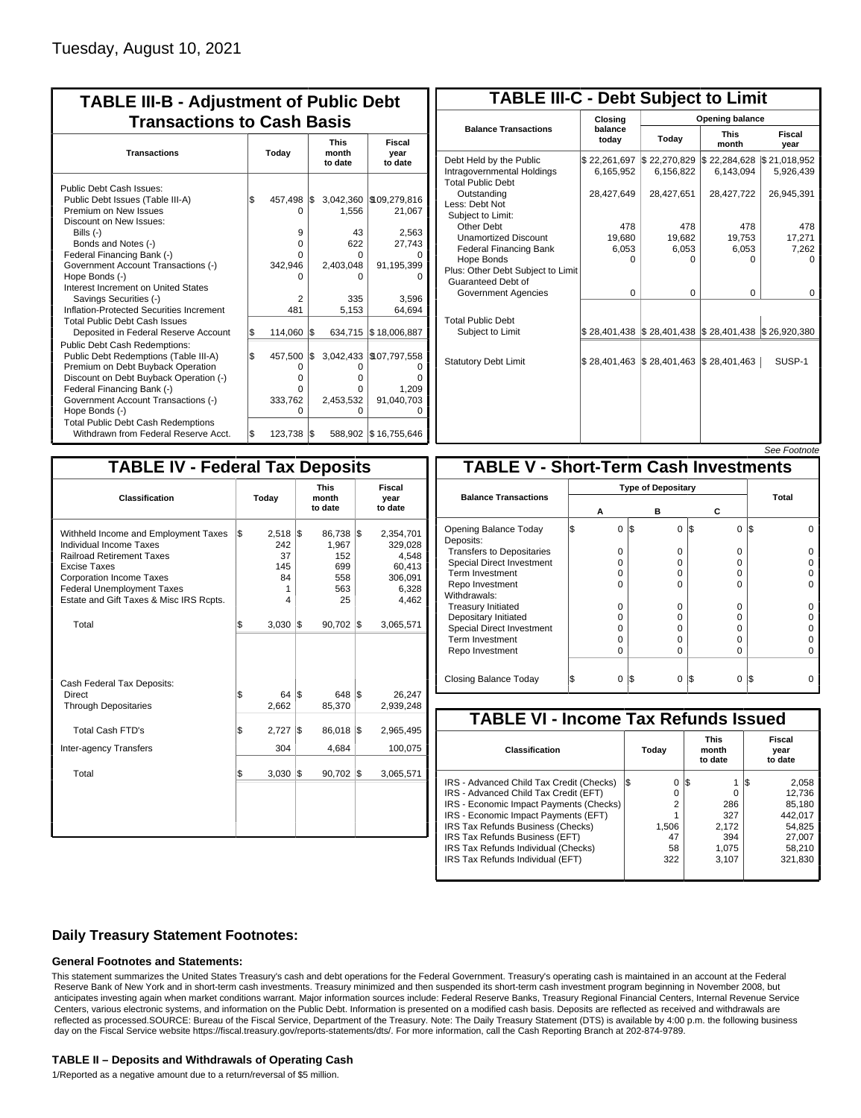| <b>TABLE III-B - Adjustment of Public Debt</b><br><b>Transactions to Cash Basis</b>                                                                                                                                                                                                                                                                                              |           |                                                          |           |                                                                        |                                                                             |  |  |                                 |                           |
|----------------------------------------------------------------------------------------------------------------------------------------------------------------------------------------------------------------------------------------------------------------------------------------------------------------------------------------------------------------------------------|-----------|----------------------------------------------------------|-----------|------------------------------------------------------------------------|-----------------------------------------------------------------------------|--|--|---------------------------------|---------------------------|
| <b>Transactions</b>                                                                                                                                                                                                                                                                                                                                                              | Today     |                                                          |           |                                                                        |                                                                             |  |  | <b>This</b><br>month<br>to date | Fiscal<br>year<br>to date |
| <b>Public Debt Cash Issues:</b><br>Public Debt Issues (Table III-A)<br>Premium on New Issues<br>Discount on New Issues:<br>Bills $(-)$<br>Bonds and Notes (-)<br>Federal Financing Bank (-)<br>Government Account Transactions (-)<br>Hope Bonds (-)<br>Interest Increment on United States<br>Savings Securities (-)<br>Inflation-Protected Securities Increment                | l\$       | 457.498<br>0<br>9<br>0<br>O<br>342,946<br>O<br>2<br>481  | \$        | 3,042,360<br>1,556<br>43<br>622<br>O<br>2,403,048<br>0<br>335<br>5,153 | \$109,279,816<br>21,067<br>2,563<br>27,743<br>91,195,399<br>3,596<br>64,694 |  |  |                                 |                           |
| <b>Total Public Debt Cash Issues</b><br>Deposited in Federal Reserve Account<br><b>Public Debt Cash Redemptions:</b><br>Public Debt Redemptions (Table III-A)<br>Premium on Debt Buyback Operation<br>Discount on Debt Buyback Operation (-)<br>Federal Financing Bank (-)<br>Government Account Transactions (-)<br>Hope Bonds (-)<br><b>Total Public Debt Cash Redemptions</b> | \$<br>l\$ | 114,060<br>457,500<br>0<br>$\Omega$<br>0<br>333,762<br>O | l\$<br>\$ | 634,715<br>3,042,433<br>0<br>o<br>O<br>2,453,532<br>O                  | \$18,006,887<br>\$107,797,558<br>1,209<br>91,040,703                        |  |  |                                 |                           |
| Withdrawn from Federal Reserve Acct.                                                                                                                                                                                                                                                                                                                                             | \$        | 123,738                                                  | I\$       |                                                                        | 588,902 \$16,755,646                                                        |  |  |                                 |                           |

| <b>TABLE III-C - Debt Subject to Limit</b>                                        |                           |                                            |                           |                           |  |  |  |  |
|-----------------------------------------------------------------------------------|---------------------------|--------------------------------------------|---------------------------|---------------------------|--|--|--|--|
|                                                                                   | Closing                   |                                            | Opening balance           |                           |  |  |  |  |
| <b>Balance Transactions</b>                                                       | balance<br>todav          | Today                                      | <b>This</b><br>month      | Fiscal<br>year            |  |  |  |  |
| Debt Held by the Public<br>Intragovernmental Holdings<br><b>Total Public Debt</b> | \$22,261,697<br>6,165,952 | \$22,270,829<br>6,156,822                  | \$22,284,628<br>6,143,094 | \$21,018,952<br>5,926,439 |  |  |  |  |
| Outstanding<br>Less: Debt Not<br>Subject to Limit:                                | 28,427,649                | 28,427,651                                 | 28,427,722                | 26,945,391                |  |  |  |  |
| Other Debt                                                                        | 478                       | 478                                        | 478                       | 478                       |  |  |  |  |
| <b>Unamortized Discount</b>                                                       | 19,680                    | 19,682                                     | 19,753                    | 17,271                    |  |  |  |  |
| <b>Federal Financing Bank</b>                                                     | 6,053                     | 6,053                                      | 6,053                     | 7,262                     |  |  |  |  |
| Hope Bonds<br>Plus: Other Debt Subject to Limit<br>Guaranteed Debt of             | $\Omega$                  | O                                          | n                         | n                         |  |  |  |  |
| Government Agencies                                                               | $\Omega$                  | 0                                          | $\Omega$                  | 0                         |  |  |  |  |
| <b>Total Public Debt</b><br>Subject to Limit                                      |                           | \$28,401,438   \$28,401,438   \$28,401,438 |                           | \$26,920,380              |  |  |  |  |
| <b>Statutory Debt Limit</b>                                                       | \$28.401.463              | \$28,401,463                               | \$28,401,463              | SUSP-1                    |  |  |  |  |
|                                                                                   |                           |                                            |                           |                           |  |  |  |  |

See Footn

| <b>TABLE IV - Federal Tax Deposits</b>                                                                                                                                                                                                 |       |                                                |                                                      |     |                                                                      |
|----------------------------------------------------------------------------------------------------------------------------------------------------------------------------------------------------------------------------------------|-------|------------------------------------------------|------------------------------------------------------|-----|----------------------------------------------------------------------|
| Classification                                                                                                                                                                                                                         | Today |                                                | <b>This</b><br>month<br>to date                      |     | Fiscal<br>year<br>to date                                            |
| Withheld Income and Employment Taxes<br>Individual Income Taxes<br><b>Railroad Retirement Taxes</b><br>Excise Taxes<br><b>Corporation Income Taxes</b><br><b>Federal Unemployment Taxes</b><br>Estate and Gift Taxes & Misc IRS Rcpts. | \$    | $2,518$ \$<br>242<br>37<br>145<br>84<br>1<br>4 | 86,738 \$<br>1,967<br>152<br>699<br>558<br>563<br>25 |     | 2,354,701<br>329,028<br>4,548<br>60,413<br>306,091<br>6,328<br>4,462 |
| Total                                                                                                                                                                                                                                  | \$    | 3,030                                          | 1\$<br>90,702                                        | 1\$ | 3,065,571                                                            |
| Cash Federal Tax Deposits:<br>Direct<br><b>Through Depositaries</b>                                                                                                                                                                    | \$    | $64$ $\overline{\text{}}$<br>2,662             | 648 \$<br>85,370                                     |     | 26,247<br>2,939,248                                                  |
| <b>Total Cash FTD's</b><br>Inter-agency Transfers                                                                                                                                                                                      | \$    | 2,727<br>304                                   | l\$<br>86,018<br>4,684                               | 1\$ | 2,965,495<br>100,075                                                 |
| Total                                                                                                                                                                                                                                  | \$    | 3,030                                          | l\$<br>90,702                                        | 1\$ | 3,065,571                                                            |
|                                                                                                                                                                                                                                        |       |                                                |                                                      |     |                                                                      |

|                                              |  |                           |     |          |                |     | <u>JEE I VUIIVIE</u> |
|----------------------------------------------|--|---------------------------|-----|----------|----------------|-----|----------------------|
| <b>TABLE V - Short-Term Cash Investments</b> |  |                           |     |          |                |     |                      |
|                                              |  | <b>Type of Depositary</b> |     |          |                |     |                      |
| <b>Balance Transactions</b>                  |  | А                         |     | в        | С              |     | Total                |
| Opening Balance Today<br>Deposits:           |  | $\Omega$                  | 1\$ | $\Omega$ | \$<br>$\Omega$ | l\$ |                      |
| <b>Transfers to Depositaries</b>             |  | O                         |     | O        | 0              |     |                      |
| <b>Special Direct Investment</b>             |  | O                         |     | O        | 0              |     |                      |
| Term Investment                              |  | ი                         |     | ი        | 0              |     |                      |
| Repo Investment                              |  | Ω                         |     | ი        | 0              |     |                      |
| Withdrawals:                                 |  |                           |     |          |                |     |                      |
| <b>Treasury Initiated</b>                    |  | O                         |     | O        | 0              |     |                      |
| Depositary Initiated                         |  | Ω                         |     | Ω        | 0              |     |                      |
| Special Direct Investment                    |  | Ω                         |     | Ω        | 0              |     |                      |
| <b>Term Investment</b>                       |  | Ω                         |     | Ω        | 0              |     |                      |
| Repo Investment                              |  | O                         |     | O        | 0              |     |                      |
|                                              |  |                           |     |          |                |     |                      |
| Closing Balance Today                        |  | 0                         | I\$ | 0        | S<br>0         | 13  |                      |

| <b>TABLE VI - Income Tax Refunds Issued</b> |                |                                 |                           |  |  |  |  |  |  |  |
|---------------------------------------------|----------------|---------------------------------|---------------------------|--|--|--|--|--|--|--|
| Classification                              | Today          | <b>This</b><br>month<br>to date | Fiscal<br>year<br>to date |  |  |  |  |  |  |  |
| IRS - Advanced Child Tax Credit (Checks)    | 0<br>l\$       | 1\$                             | 2,058<br>lЖ,              |  |  |  |  |  |  |  |
| IRS - Advanced Child Tax Credit (EFT)       | 0              |                                 | 12.736                    |  |  |  |  |  |  |  |
| IRS - Economic Impact Payments (Checks)     | $\overline{2}$ | 286                             | 85.180                    |  |  |  |  |  |  |  |
| IRS - Economic Impact Payments (EFT)        |                | 327                             | 442.017                   |  |  |  |  |  |  |  |
| IRS Tax Refunds Business (Checks)           | 1.506          | 2.172                           | 54.825                    |  |  |  |  |  |  |  |
| IRS Tax Refunds Business (EFT)              | 47             | 394                             | 27.007                    |  |  |  |  |  |  |  |
| IRS Tax Refunds Individual (Checks)         | 58             | 1.075                           | 58.210                    |  |  |  |  |  |  |  |
| IRS Tax Refunds Individual (EFT)            | 322            | 3,107                           | 321,830                   |  |  |  |  |  |  |  |
|                                             |                |                                 |                           |  |  |  |  |  |  |  |

### **Daily Treasury Statement Footnotes:**

#### **General Footnotes and Statements:**

This statement summarizes the United States Treasury's cash and debt operations for the Federal Government. Treasury's operating cash is maintained in an account at the Federal Reserve Bank of New York and in short-term cash investments. Treasury minimized and then suspended its short-term cash investment program beginning in November 2008, but anticipates investing again when market conditions warrant. Major information sources include: Federal Reserve Banks, Treasury Regional Financial Centers, Internal Revenue Service Centers, various electronic systems, and information on the Public Debt. Information is presented on a modified cash basis. Deposits are reflected as received and withdrawals are reflected as processed.SOURCE: Bureau of the Fiscal Service, Department of the Treasury. Note: The Daily Treasury Statement (DTS) is available by 4:00 p.m. the following business day on the Fiscal Service website https://fiscal.treasury.gov/reports-statements/dts/. For more information, call the Cash Reporting Branch at 202-874-9789.

#### **TABLE II – Deposits and Withdrawals of Operating Cash**

1/Reported as a negative amount due to a return/reversal of \$5 million.